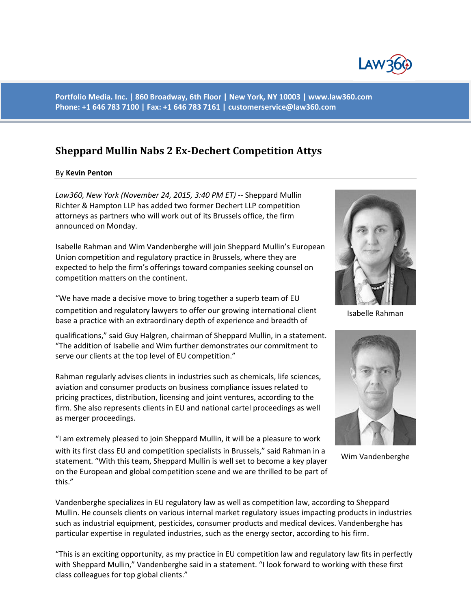

**Portfolio Media. Inc. | 860 Broadway, 6th Floor | New York, NY 10003 | www.law360.com Phone: +1 646 783 7100 | Fax: +1 646 783 7161 | [customerservice@law360.com](mailto:customerservice@law360.com)**

## **Sheppard Mullin Nabs 2 Ex-Dechert Competition Attys**

## By **Kevin Penton**

*Law360, New York (November 24, 2015, 3:40 PM ET)* -- Sheppard Mullin Richter & Hampton LLP has added two former Dechert LLP competition attorneys as partners who will work out of its Brussels office, the firm announced on Monday.

Isabelle Rahman and Wim Vandenberghe will join Sheppard Mullin's European Union competition and regulatory practice in Brussels, where they are expected to help the firm's offerings toward companies seeking counsel on competition matters on the continent.

"We have made a decisive move to bring together a superb team of EU competition and regulatory lawyers to offer our growing international client base a practice with an extraordinary depth of experience and breadth of

qualifications," said Guy Halgren, chairman of Sheppard Mullin, in a statement. "The addition of Isabelle and Wim further demonstrates our commitment to serve our clients at the top level of EU competition."

Rahman regularly advises clients in industries such as chemicals, life sciences, aviation and consumer products on business compliance issues related to pricing practices, distribution, licensing and joint ventures, according to the firm. She also represents clients in EU and national cartel proceedings as well as merger proceedings.

"I am extremely pleased to join Sheppard Mullin, it will be a pleasure to work with its first class EU and competition specialists in Brussels," said Rahman in a statement. "With this team, Sheppard Mullin is well set to become a key player on the European and global competition scene and we are thrilled to be part of this."



Isabelle Rahman



Wim Vandenberghe

Vandenberghe specializes in EU regulatory law as well as competition law, according to Sheppard Mullin. He counsels clients on various internal market regulatory issues impacting products in industries such as industrial equipment, pesticides, consumer products and medical devices. Vandenberghe has particular expertise in regulated industries, such as the energy sector, according to his firm.

"This is an exciting opportunity, as my practice in EU competition law and regulatory law fits in perfectly with Sheppard Mullin," Vandenberghe said in a statement. "I look forward to working with these first class colleagues for top global clients."